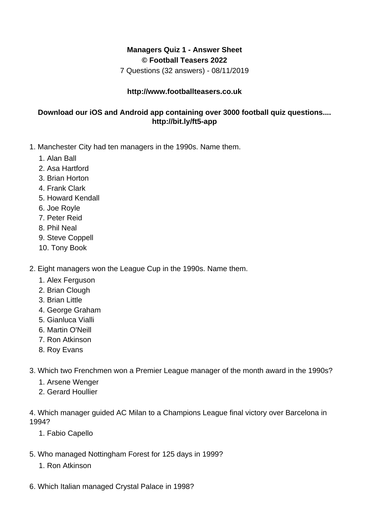## **Managers Quiz 1 - Answer Sheet © Football Teasers 2022**

7 Questions (32 answers) - 08/11/2019

## **http://www.footballteasers.co.uk**

## **Download our iOS and Android app containing over 3000 football quiz questions.... http://bit.ly/ft5-app**

- 1. Manchester City had ten managers in the 1990s. Name them.
	- 1. Alan Ball
	- 2. Asa Hartford
	- 3. Brian Horton
	- 4. Frank Clark
	- 5. Howard Kendall
	- 6. Joe Royle
	- 7. Peter Reid
	- 8. Phil Neal
	- 9. Steve Coppell
	- 10. Tony Book
- 2. Eight managers won the League Cup in the 1990s. Name them.
	- 1. Alex Ferguson
	- 2. Brian Clough
	- 3. Brian Little
	- 4. George Graham
	- 5. Gianluca Vialli
	- 6. Martin O'Neill
	- 7. Ron Atkinson
	- 8. Roy Evans
- 3. Which two Frenchmen won a Premier League manager of the month award in the 1990s?
	- 1. Arsene Wenger
	- 2. Gerard Houllier

4. Which manager guided AC Milan to a Champions League final victory over Barcelona in 1994?

- 1. Fabio Capello
- 5. Who managed Nottingham Forest for 125 days in 1999?
	- 1. Ron Atkinson
- 6. Which Italian managed Crystal Palace in 1998?